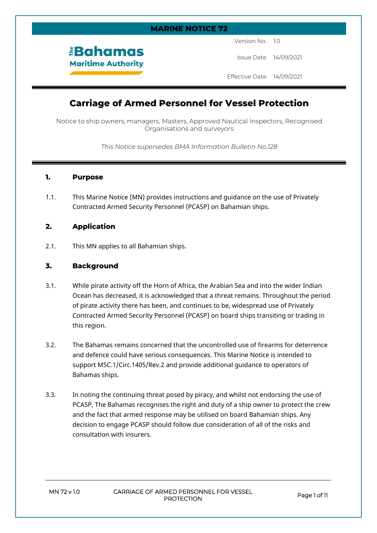# **MARINE NOTICE 72**

Version No. 1.0

Issue Date 14/09/2021

Effective Date 14/09/2021

# **Carriage of Armed Personnel for Vessel Protection**

Notice to ship owners, managers, Masters, Approved Nautical Inspectors, Recognised Organisations and surveyors

*This Notice supersedes BMA Information Bulletin No.128*

# **1. Purpose**

1.1. This Marine Notice (MN) provides instructions and guidance on the use of Privately Contracted Armed Security Personnel (PCASP) on Bahamian ships.

# **2. Application**

2.1. This MN applies to all Bahamian ships.

*<u><b>EBahamas</u>* **Maritime Authority** 

# **3. Background**

- 3.1. While pirate activity off the Horn of Africa, the Arabian Sea and into the wider Indian Ocean has decreased, it is acknowledged that a threat remains. Throughout the period of pirate activity there has been, and continues to be, widespread use of Privately Contracted Armed Security Personnel (PCASP) on board ships transiting or trading in this region.
- 3.2. The Bahamas remains concerned that the uncontrolled use of firearms for deterrence and defence could have serious consequences. This Marine Notice is intended to support MSC.1/Circ.1405/Rev.2 and provide additional guidance to operators of Bahamas ships.
- 3.3. In noting the continuing threat posed by piracy, and whilst not endorsing the use of PCASP, The Bahamas recognises the right and duty of a ship owner to protect the crew and the fact that armed response may be utilised on board Bahamian ships. Any decision to engage PCASP should follow due consideration of all of the risks and consultation with insurers.

**MN 72 v 1.0 CARRIAGE OF ARMED PERSONNEL FOR VESSEL PROTECTION Page 1 of 11**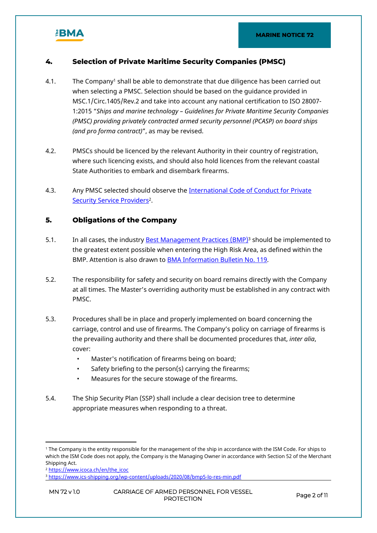

# **4. Selection of Private Maritime Security Companies (PMSC)**

- 4.1. The Company<sup>1</sup> shall be able to demonstrate that due diligence has been carried out when selecting a PMSC. Selection should be based on the guidance provided in MSC.1/Circ.1405/Rev.2 and take into account any national certification to ISO 28007- 1:2015 "*Ships and marine technology – Guidelines for Private Maritime Security Companies (PMSC) providing privately contracted armed security personnel (PCASP) on board ships (and pro forma contract)*", as may be revised.
- 4.2. PMSCs should be licenced by the relevant Authority in their country of registration, where such licencing exists, and should also hold licences from the relevant coastal State Authorities to embark and disembark firearms.
- 4.3. Any PMSC selected should observe the International Code of Conduct for Private [Security Service Providers](https://www.icoca.ch/en/the_icoc)<sup>2</sup>.

# **5. Obligations of the Company**

- 5.1. In all cases, the industry <u>Best Management Practices (BMP)</u><sup>3</sup> should be implemented to the greatest extent possible when entering the High Risk Area, as defined within the BMP. Attention is also drawn to [BMA Information Bulletin No. 119.](https://www.bahamasmaritime.com/wp-content/uploads/2015/08/119bulltn.pdf)
- 5.2. The responsibility for safety and security on board remains directly with the Company at all times. The Master's overriding authority must be established in any contract with PMSC.
- 5.3. Procedures shall be in place and properly implemented on board concerning the carriage, control and use of firearms. The Company's policy on carriage of firearms is the prevailing authority and there shall be documented procedures that, *inter alia*, cover:
	- Master's notification of firearms being on board;
	- Safety briefing to the person(s) carrying the firearms;
	- Measures for the secure stowage of the firearms.
- 5.4. The Ship Security Plan (SSP) shall include a clear decision tree to determine appropriate measures when responding to a threat.

<sup>1</sup> The Company is the entity responsible for the management of the ship in accordance with the ISM Code. For ships to which the ISM Code does not apply, the Company is the Managing Owner in accordance with Section 52 of the Merchant Shipping Act.

<sup>&</sup>lt;sup>2</sup> [https://www.icoca.ch/en/the\\_icoc](https://www.icoca.ch/en/the_icoc)

<sup>3</sup> <https://www.ics-shipping.org/wp-content/uploads/2020/08/bmp5-lo-res-min.pdf>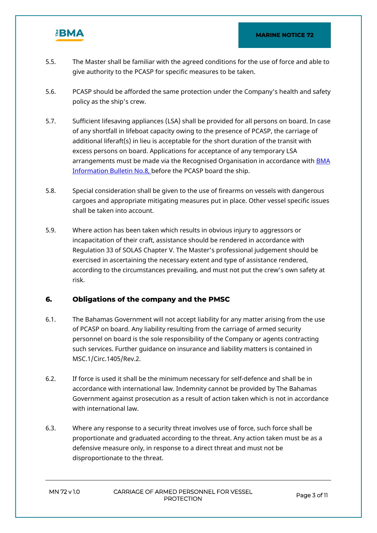

- 5.5. The Master shall be familiar with the agreed conditions for the use of force and able to give authority to the PCASP for specific measures to be taken.
- 5.6. PCASP should be afforded the same protection under the Company's health and safety policy as the ship's crew.
- 5.7. Sufficient lifesaving appliances (LSA) shall be provided for all persons on board. In case of any shortfall in lifeboat capacity owing to the presence of PCASP, the carriage of additional liferaft(s) in lieu is acceptable for the short duration of the transit with excess persons on board. Applications for acceptance of any temporary LSA arrangements must be made via the Recognised Organisation in accordance with **BMA** [Information Bulletin No.8](https://www.bahamasmaritime.com/wp-content/uploads/2015/08/bulltn08.pdf), before the PCASP board the ship.
- 5.8. Special consideration shall be given to the use of firearms on vessels with dangerous cargoes and appropriate mitigating measures put in place. Other vessel specific issues shall be taken into account.
- 5.9. Where action has been taken which results in obvious injury to aggressors or incapacitation of their craft, assistance should be rendered in accordance with Regulation 33 of SOLAS Chapter V. The Master's professional judgement should be exercised in ascertaining the necessary extent and type of assistance rendered, according to the circumstances prevailing, and must not put the crew's own safety at risk.

# **6. Obligations of the company and the PMSC**

- 6.1. The Bahamas Government will not accept liability for any matter arising from the use of PCASP on board. Any liability resulting from the carriage of armed security personnel on board is the sole responsibility of the Company or agents contracting such services. Further guidance on insurance and liability matters is contained in MSC.1/Circ.1405/Rev.2.
- 6.2. If force is used it shall be the minimum necessary for self-defence and shall be in accordance with international law. Indemnity cannot be provided by The Bahamas Government against prosecution as a result of action taken which is not in accordance with international law.
- 6.3. Where any response to a security threat involves use of force, such force shall be proportionate and graduated according to the threat. Any action taken must be as a defensive measure only, in response to a direct threat and must not be disproportionate to the threat.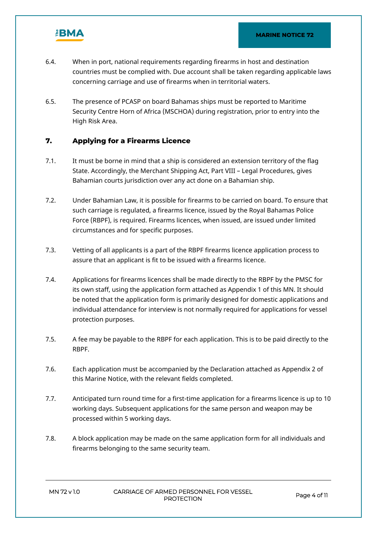

- 6.4. When in port, national requirements regarding firearms in host and destination countries must be complied with. Due account shall be taken regarding applicable laws concerning carriage and use of firearms when in territorial waters.
- 6.5. The presence of PCASP on board Bahamas ships must be reported to Maritime Security Centre Horn of Africa (MSCHOA) during registration, prior to entry into the High Risk Area.

# **7. Applying for a Firearms Licence**

- 7.1. It must be borne in mind that a ship is considered an extension territory of the flag State. Accordingly, the Merchant Shipping Act, Part VIII – Legal Procedures, gives Bahamian courts jurisdiction over any act done on a Bahamian ship.
- 7.2. Under Bahamian Law, it is possible for firearms to be carried on board. To ensure that such carriage is regulated, a firearms licence, issued by the Royal Bahamas Police Force (RBPF), is required. Firearms licences, when issued, are issued under limited circumstances and for specific purposes.
- 7.3. Vetting of all applicants is a part of the RBPF firearms licence application process to assure that an applicant is fit to be issued with a firearms licence.
- 7.4. Applications for firearms licences shall be made directly to the RBPF by the PMSC for its own staff, using the application form attached as Appendix 1 of this MN. It should be noted that the application form is primarily designed for domestic applications and individual attendance for interview is not normally required for applications for vessel protection purposes.
- 7.5. A fee may be payable to the RBPF for each application. This is to be paid directly to the RBPF.
- 7.6. Each application must be accompanied by the Declaration attached as Appendix 2 of this Marine Notice, with the relevant fields completed.
- 7.7. Anticipated turn round time for a first-time application for a firearms licence is up to 10 working days. Subsequent applications for the same person and weapon may be processed within 5 working days.
- 7.8. A block application may be made on the same application form for all individuals and firearms belonging to the same security team.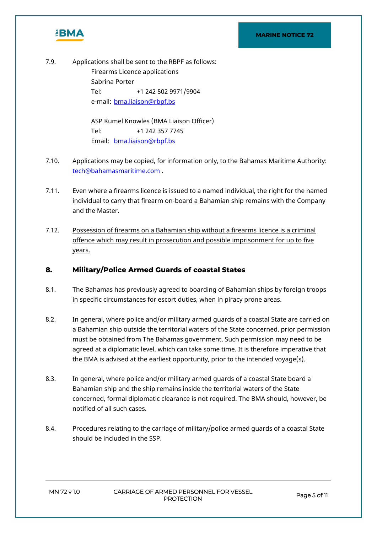

7.9. Applications shall be sent to the RBPF as follows: Firearms Licence applications Sabrina Porter Tel: +1 242 502 9971/9904 e-mail: [bma.liaison@rbpf.bs](mailto:bma.liaison@rbpf.bs)

> ASP Kumel Knowles (BMA Liaison Officer) Tel: +1 242 357 7745 Email: [bma.liaison@rbpf.bs](mailto:bma.liaison@rbpf.bs)

- 7.10. Applications may be copied, for information only, to the Bahamas Maritime Authority: [tech@bahamasmaritime.com](mailto:tech@bahamasmaritime.com) .
- 7.11. Even where a firearms licence is issued to a named individual, the right for the named individual to carry that firearm on-board a Bahamian ship remains with the Company and the Master.
- 7.12. Possession of firearms on a Bahamian ship without a firearms licence is a criminal offence which may result in prosecution and possible imprisonment for up to five years.

# **8. Military/Police Armed Guards of coastal States**

- 8.1. The Bahamas has previously agreed to boarding of Bahamian ships by foreign troops in specific circumstances for escort duties, when in piracy prone areas.
- 8.2. In general, where police and/or military armed guards of a coastal State are carried on a Bahamian ship outside the territorial waters of the State concerned, prior permission must be obtained from The Bahamas government. Such permission may need to be agreed at a diplomatic level, which can take some time. It is therefore imperative that the BMA is advised at the earliest opportunity, prior to the intended voyage(s).
- 8.3. In general, where police and/or military armed guards of a coastal State board a Bahamian ship and the ship remains inside the territorial waters of the State concerned, formal diplomatic clearance is not required. The BMA should, however, be notified of all such cases.
- 8.4. Procedures relating to the carriage of military/police armed guards of a coastal State should be included in the SSP.

**MN 72 v 1.0 CARRIAGE OF ARMED PERSONNEL FOR VESSEL PROTECTION Page 5 of 11**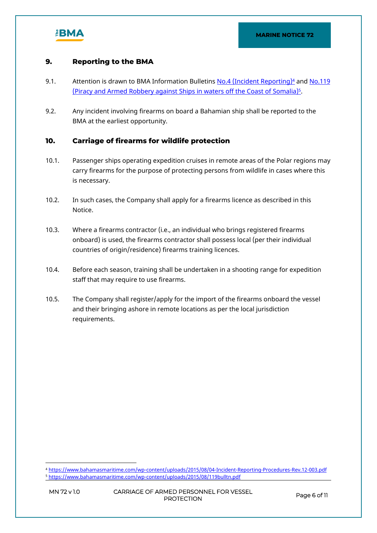

# **9. Reporting to the BMA**

- 9.1. Attention is drawn to BMA Information Bulletins <u>[No.4 \(Incident Reporting\)](https://www.bahamasmaritime.com/wp-content/uploads/2015/08/04-Incident-Reporting-Procedures-Rev.12-003.pdf)<sup>4</sup></u> and <u>No.119</u> <u>[\(Piracy and Armed Robbery against Ships in waters off the Coast of Somalia\)](https://www.bahamasmaritime.com/wp-content/uploads/2015/08/119bulltn.pdf)<sup>5</sup>.</u>
- 9.2. Any incident involving firearms on board a Bahamian ship shall be reported to the BMA at the earliest opportunity.

# **10. Carriage of firearms for wildlife protection**

- 10.1. Passenger ships operating expedition cruises in remote areas of the Polar regions may carry firearms for the purpose of protecting persons from wildlife in cases where this is necessary.
- 10.2. In such cases, the Company shall apply for a firearms licence as described in this Notice.
- 10.3. Where a firearms contractor (i.e., an individual who brings registered firearms onboard) is used, the firearms contractor shall possess local (per their individual countries of origin/residence) firearms training licences.
- 10.4. Before each season, training shall be undertaken in a shooting range for expedition staff that may require to use firearms.
- 10.5. The Company shall register/apply for the import of the firearms onboard the vessel and their bringing ashore in remote locations as per the local jurisdiction requirements.

<sup>4</sup> <https://www.bahamasmaritime.com/wp-content/uploads/2015/08/04-Incident-Reporting-Procedures-Rev.12-003.pdf> <sup>5</sup> <https://www.bahamasmaritime.com/wp-content/uploads/2015/08/119bulltn.pdf>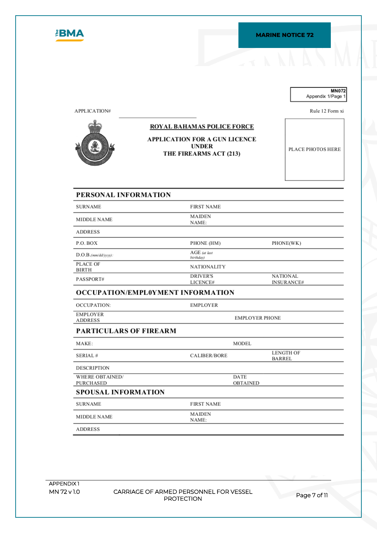

#### **MN072** Appendix 1/Page 1

Rule 12 Form xi

APPLICATION#

# **ROYAL BAHAMAS POLICE FORCE**

## APPLICATION FOR A GUN LICENCE **UNDER** THE FIREARMS ACT (213)

PLACE PHOTOS HERE

# PERSONAL INFORMATION

| <b>SURNAME</b>           | <b>FIRST NAME</b>           |                                      |
|--------------------------|-----------------------------|--------------------------------------|
| MIDDLE NAME              | <b>MAIDEN</b><br>NAME:      |                                      |
| <b>ADDRESS</b>           |                             |                                      |
| P.O. BOX                 | PHONE (HM)                  | PHONE(WK)                            |
| D.O.B.(mm/dd/yyy):       | AGE (at last<br>birthday)   |                                      |
| PLACE OF<br><b>BIRTH</b> | <b>NATIONALITY</b>          |                                      |
| PASSPORT#                | <b>DRIVER'S</b><br>LICENCE# | <b>NATIONAL</b><br><b>INSURANCE#</b> |

**EMPLOYER** 

# OCCUPATION/EMPL0YMENT INFORMATION

| OCCUPATION:     |  |
|-----------------|--|
| <b>EMPLOYER</b> |  |
| <b>ADDRESS</b>  |  |

EMPLOYER PHONE

## PARTICULARS OF FIREARM

| MAKE:                      |                        | MODEL       |                            |
|----------------------------|------------------------|-------------|----------------------------|
| SERIAL#                    | <b>CALIBER/BORE</b>    |             | <b>LENGTH OF</b><br>BARREL |
| <b>DESCRIPTION</b>         |                        |             |                            |
| WHERE OBTAINED/            |                        | <b>DATE</b> |                            |
| PURCHASED                  |                        | OBTAINED    |                            |
| <b>SPOUSAL INFORMATION</b> |                        |             |                            |
| <b>SURNAME</b>             | <b>FIRST NAME</b>      |             |                            |
| MIDDLE NAME                | <b>MAIDEN</b><br>NAME: |             |                            |
| <b>ADDRESS</b>             |                        |             |                            |

**APPENDIX 1**

**MN 72 v 1.0 CARRIAGE OF ARMED PERSONNEL FOR VESSEL PROTECTION Page 7 of 11**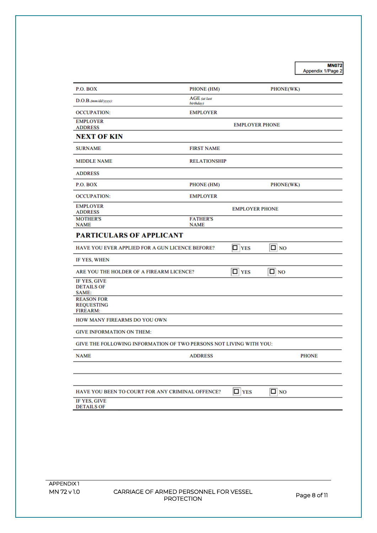MN072<br>Appendix 1/Page 2

| P.O. BOX                                                                                                                                                                                   | PHONE (HM)                                                         | PHONE(WK)                               |              |
|--------------------------------------------------------------------------------------------------------------------------------------------------------------------------------------------|--------------------------------------------------------------------|-----------------------------------------|--------------|
| D.O.B.(mm/dd/yyyy):                                                                                                                                                                        | AGE (at last<br>birthday)                                          |                                         |              |
| <b>OCCUPATION:</b>                                                                                                                                                                         | <b>EMPLOYER</b>                                                    |                                         |              |
| <b>EMPLOYER</b>                                                                                                                                                                            |                                                                    | <b>EMPLOYER PHONE</b>                   |              |
| <b>ADDRESS</b><br><b>NEXT OF KIN</b>                                                                                                                                                       |                                                                    |                                         |              |
| <b>SURNAME</b>                                                                                                                                                                             | <b>FIRST NAME</b>                                                  |                                         |              |
| <b>MIDDLE NAME</b>                                                                                                                                                                         | <b>RELATIONSHIP</b>                                                |                                         |              |
| <b>ADDRESS</b>                                                                                                                                                                             |                                                                    |                                         |              |
| P.O. BOX                                                                                                                                                                                   | PHONE (HM)                                                         | PHONE(WK)                               |              |
| <b>OCCUPATION:</b>                                                                                                                                                                         | <b>EMPLOYER</b>                                                    |                                         |              |
| <b>EMPLOYER</b><br><b>ADDRESS</b>                                                                                                                                                          |                                                                    | <b>EMPLOYER PHONE</b>                   |              |
| <b>MOTHER'S</b><br><b>NAME</b>                                                                                                                                                             | <b>FATHER'S</b><br><b>NAME</b>                                     |                                         |              |
| <b>PARTICULARS OF APPLICANT</b>                                                                                                                                                            |                                                                    |                                         |              |
| <b>HAVE YOU EVER APPLIED FOR A GUN LICENCE BEFORE?</b>                                                                                                                                     |                                                                    | $\Box$ NO<br>$\Box$ YES                 |              |
| IF YES, WHEN                                                                                                                                                                               |                                                                    |                                         |              |
|                                                                                                                                                                                            |                                                                    |                                         |              |
|                                                                                                                                                                                            |                                                                    | $\Box$ YES<br>$\Box$ NO                 |              |
|                                                                                                                                                                                            |                                                                    |                                         |              |
|                                                                                                                                                                                            |                                                                    |                                         |              |
|                                                                                                                                                                                            |                                                                    |                                         |              |
|                                                                                                                                                                                            |                                                                    |                                         |              |
| ARE YOU THE HOLDER OF A FIREARM LICENCE?                                                                                                                                                   | GIVE THE FOLLOWING INFORMATION OF TWO PERSONS NOT LIVING WITH YOU: |                                         |              |
|                                                                                                                                                                                            | <b>ADDRESS</b>                                                     |                                         |              |
| IF YES, GIVE<br><b>DETAILS OF</b><br>SAME:<br><b>REASON FOR</b><br><b>REQUESTING</b><br><b>FIREARM:</b><br>HOW MANY FIREARMS DO YOU OWN<br><b>GIVE INFORMATION ON THEM:</b><br><b>NAME</b> |                                                                    |                                         | <b>PHONE</b> |
| HAVE YOU BEEN TO COURT FOR ANY CRIMINAL OFFENCE?                                                                                                                                           |                                                                    | $\boxed{\Box}$ YES<br>$\boxed{\Box}$ NO |              |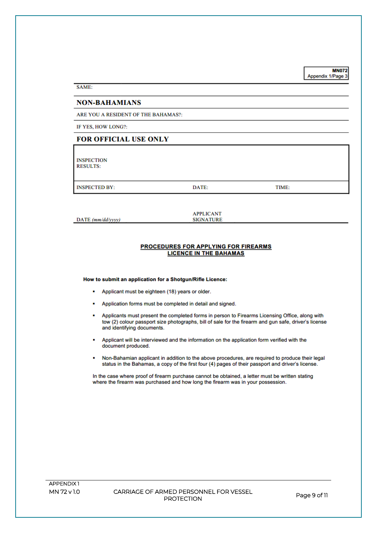**MN072** Appendix 1/Page 3

SAME:

### **NON-BAHAMIANS**

ARE YOU A RESIDENT OF THE BAHAMAS?:

IF YES, HOW LONG?:

## **FOR OFFICIAL USE ONLY**

**INSPECTION RESULTS:** 

**INSPECTED BY:** 

DATE:

TIME:

DATE (mm/dd/yyyy)

**APPLICANT SIGNATURE** 

#### PROCEDURES FOR APPLYING FOR FIREARMS **LICENCE IN THE BAHAMAS**

How to submit an application for a Shotgun/Rifle Licence:

- Applicant must be eighteen (18) years or older.
- Application forms must be completed in detail and signed.
- Applicants must present the completed forms in person to Firearms Licensing Office, along with tow (2) colour passport size photographs, bill of sale for the firearm and gun safe, driver's license and identifying documents.
- Applicant will be interviewed and the information on the application form verified with the document produced.
- Non-Bahamian applicant in addition to the above procedures, are required to produce their legal ٠ status in the Bahamas, a copy of the first four (4) pages of their passport and driver's license.

In the case where proof of firearm purchase cannot be obtained, a letter must be written stating where the firearm was purchased and how long the firearm was in your possession.

CARRIAGE OF ARMED PERSONNEL FOR VESSEL **PROTECTION**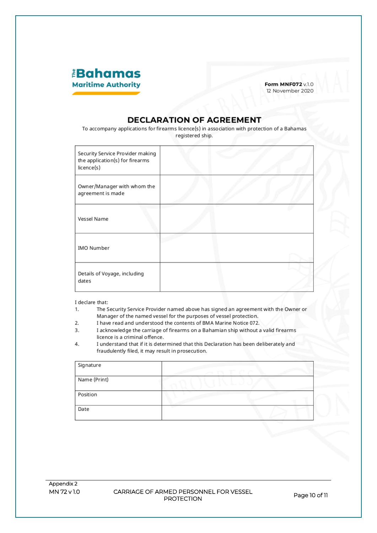

Form MNF072 v.1.0 12 November 2020

# **DECLARATION OF AGREEMENT**

To accompany applications for firearms licence(s) in association with protection of a Bahamas registered ship.

| Security Service Provider making<br>the application(s) for firearms<br>licence(s) |  |  |
|-----------------------------------------------------------------------------------|--|--|
| Owner/Manager with whom the<br>agreement is made                                  |  |  |
| Vessel Name                                                                       |  |  |
| IMO Number                                                                        |  |  |
| Details of Voyage, including<br>dates                                             |  |  |

I declare that:

- The Security Service Provider named above has signed an agreement with the Owner or  $1.$ Manager of the named vessel for the purposes of vessel protection.
- $2.$ I have read and understood the contents of BMA Marine Notice 072.
- 3. I acknowledge the carriage of firearms on a Bahamian ship without a valid firearms licence is a criminal offence.
- $4.$ I understand that if it is determined that this Declaration has been deliberately and fraudulently filed, it may result in prosecution.

| Signature    |  |
|--------------|--|
| Name (Print) |  |
| Position     |  |
| Date         |  |